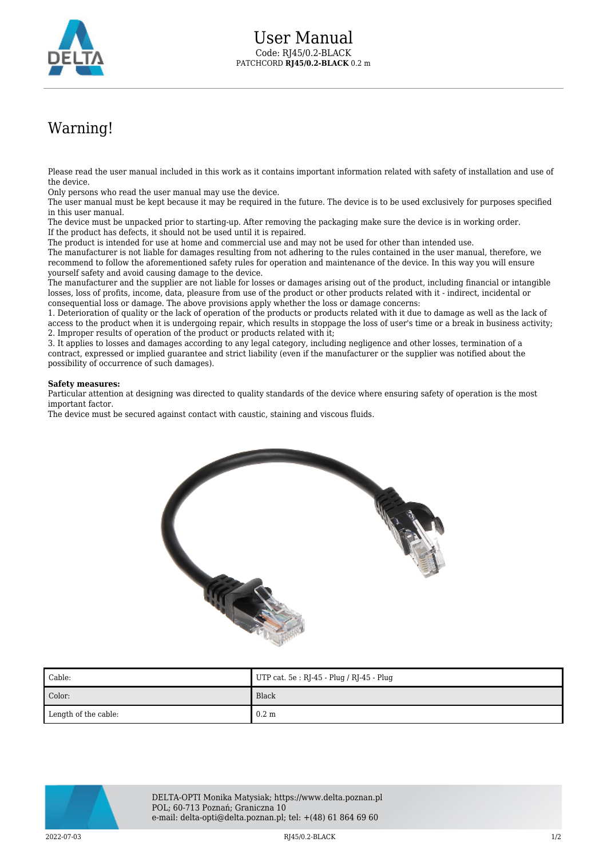

## Warning!

Please read the user manual included in this work as it contains important information related with safety of installation and use of the device.

Only persons who read the user manual may use the device.

The user manual must be kept because it may be required in the future. The device is to be used exclusively for purposes specified in this user manual.

The device must be unpacked prior to starting-up. After removing the packaging make sure the device is in working order. If the product has defects, it should not be used until it is repaired.

The product is intended for use at home and commercial use and may not be used for other than intended use.

The manufacturer is not liable for damages resulting from not adhering to the rules contained in the user manual, therefore, we recommend to follow the aforementioned safety rules for operation and maintenance of the device. In this way you will ensure yourself safety and avoid causing damage to the device.

The manufacturer and the supplier are not liable for losses or damages arising out of the product, including financial or intangible losses, loss of profits, income, data, pleasure from use of the product or other products related with it - indirect, incidental or consequential loss or damage. The above provisions apply whether the loss or damage concerns:

1. Deterioration of quality or the lack of operation of the products or products related with it due to damage as well as the lack of access to the product when it is undergoing repair, which results in stoppage the loss of user's time or a break in business activity; 2. Improper results of operation of the product or products related with it;

3. It applies to losses and damages according to any legal category, including negligence and other losses, termination of a contract, expressed or implied guarantee and strict liability (even if the manufacturer or the supplier was notified about the possibility of occurrence of such damages).

## **Safety measures:**

Particular attention at designing was directed to quality standards of the device where ensuring safety of operation is the most important factor.

The device must be secured against contact with caustic, staining and viscous fluids.



| Cable:               | UTP cat. $5e : RJ-45 - Plug / RJ-45 - Plug$ |
|----------------------|---------------------------------------------|
| Color:               | Black                                       |
| Length of the cable: | $0.2 \text{ m}$                             |



DELTA-OPTI Monika Matysiak; https://www.delta.poznan.pl POL; 60-713 Poznań; Graniczna 10 e-mail: delta-opti@delta.poznan.pl; tel: +(48) 61 864 69 60